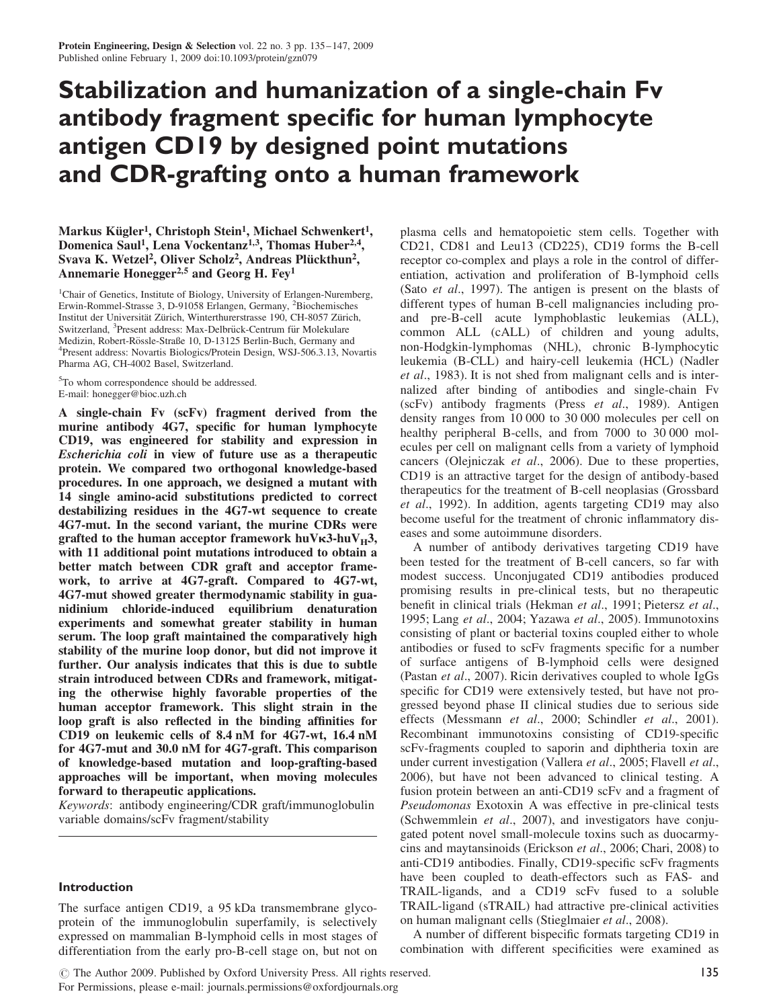# Stabilization and humanization of a single-chain Fv antibody fragment specific for human lymphocyte antigen CD19 by designed point mutations and CDR-grafting onto a human framework

Markus Kügler<sup>1</sup>, Christoph Stein<sup>1</sup>, Michael Schwenkert<sup>1</sup>, Domenica Saul<sup>1</sup>, Lena Vockentanz<sup>1,3</sup>, Thomas Huber<sup>2,4</sup>, Svava K. Wetzel<sup>2</sup>, Oliver Scholz<sup>2</sup>, Andreas Plückthun<sup>2</sup>, Annemarie Honegger<sup>2,5</sup> and Georg H. Fey<sup>1</sup>

<sup>1</sup>Chair of Genetics, Institute of Biology, University of Erlangen-Nuremberg, Erwin-Rommel-Strasse 3, D-91058 Erlangen, Germany, <sup>2</sup>Biochemisches Institut der Universität Zürich, Winterthurerstrasse 190, CH-8057 Zürich, Switzerland, <sup>3</sup>Present address: Max-Delbrück-Centrum für Molekulare Medizin, Robert-Rössle-Straße 10, D-13125 Berlin-Buch, Germany and Present address: Novartis Biologics/Protein Design, WSJ-506.3.13, Novartis Pharma AG, CH-4002 Basel, Switzerland.

<sup>5</sup>To whom correspondence should be addressed. E-mail: honegger@bioc.uzh.ch

A single-chain Fv (scFv) fragment derived from the murine antibody 4G7, specific for human lymphocyte CD19, was engineered for stability and expression in Escherichia coli in view of future use as a therapeutic protein. We compared two orthogonal knowledge-based procedures. In one approach, we designed a mutant with 14 single amino-acid substitutions predicted to correct destabilizing residues in the 4G7-wt sequence to create 4G7-mut. In the second variant, the murine CDRs were grafted to the human acceptor framework huV $\kappa$ 3-huV $_H$ 3, with 11 additional point mutations introduced to obtain a better match between CDR graft and acceptor framework, to arrive at 4G7-graft. Compared to 4G7-wt, 4G7-mut showed greater thermodynamic stability in guanidinium chloride-induced equilibrium denaturation experiments and somewhat greater stability in human serum. The loop graft maintained the comparatively high stability of the murine loop donor, but did not improve it further. Our analysis indicates that this is due to subtle strain introduced between CDRs and framework, mitigating the otherwise highly favorable properties of the human acceptor framework. This slight strain in the loop graft is also reflected in the binding affinities for CD19 on leukemic cells of 8.4 nM for 4G7-wt, 16.4 nM for 4G7-mut and 30.0 nM for 4G7-graft. This comparison of knowledge-based mutation and loop-grafting-based approaches will be important, when moving molecules forward to therapeutic applications.

Keywords: antibody engineering/CDR graft/immunoglobulin variable domains/scFv fragment/stability

#### Introduction

The surface antigen CD19, a 95 kDa transmembrane glycoprotein of the immunoglobulin superfamily, is selectively expressed on mammalian B-lymphoid cells in most stages of differentiation from the early pro-B-cell stage on, but not on plasma cells and hematopoietic stem cells. Together with CD21, CD81 and Leu13 (CD225), CD19 forms the B-cell receptor co-complex and plays a role in the control of differentiation, activation and proliferation of B-lymphoid cells (Sato et al., 1997). The antigen is present on the blasts of different types of human B-cell malignancies including proand pre-B-cell acute lymphoblastic leukemias (ALL), common ALL (cALL) of children and young adults, non-Hodgkin-lymphomas (NHL), chronic B-lymphocytic leukemia (B-CLL) and hairy-cell leukemia (HCL) (Nadler et al., 1983). It is not shed from malignant cells and is internalized after binding of antibodies and single-chain Fv (scFv) antibody fragments (Press et al., 1989). Antigen density ranges from 10 000 to 30 000 molecules per cell on healthy peripheral B-cells, and from 7000 to 30 000 molecules per cell on malignant cells from a variety of lymphoid cancers (Olejniczak et al., 2006). Due to these properties, CD19 is an attractive target for the design of antibody-based therapeutics for the treatment of B-cell neoplasias (Grossbard et al., 1992). In addition, agents targeting CD19 may also become useful for the treatment of chronic inflammatory diseases and some autoimmune disorders.

A number of antibody derivatives targeting CD19 have been tested for the treatment of B-cell cancers, so far with modest success. Unconjugated CD19 antibodies produced promising results in pre-clinical tests, but no therapeutic benefit in clinical trials (Hekman et al., 1991; Pietersz et al., 1995; Lang et al., 2004; Yazawa et al., 2005). Immunotoxins consisting of plant or bacterial toxins coupled either to whole antibodies or fused to scFv fragments specific for a number of surface antigens of B-lymphoid cells were designed (Pastan et al., 2007). Ricin derivatives coupled to whole IgGs specific for CD19 were extensively tested, but have not progressed beyond phase II clinical studies due to serious side effects (Messmann et al., 2000; Schindler et al., 2001). Recombinant immunotoxins consisting of CD19-specific scFv-fragments coupled to saporin and diphtheria toxin are under current investigation (Vallera et al., 2005; Flavell et al., 2006), but have not been advanced to clinical testing. A fusion protein between an anti-CD19 scFv and a fragment of Pseudomonas Exotoxin A was effective in pre-clinical tests (Schwemmlein et al., 2007), and investigators have conjugated potent novel small-molecule toxins such as duocarmycins and maytansinoids (Erickson et al., 2006; Chari, 2008) to anti-CD19 antibodies. Finally, CD19-specific scFv fragments have been coupled to death-effectors such as FAS- and TRAIL-ligands, and a CD19 scFv fused to a soluble TRAIL-ligand (sTRAIL) had attractive pre-clinical activities on human malignant cells (Stieglmaier et al., 2008).

A number of different bispecific formats targeting CD19 in combination with different specificities were examined as

© The Author 2009. Published by Oxford University Press. All rights reserved.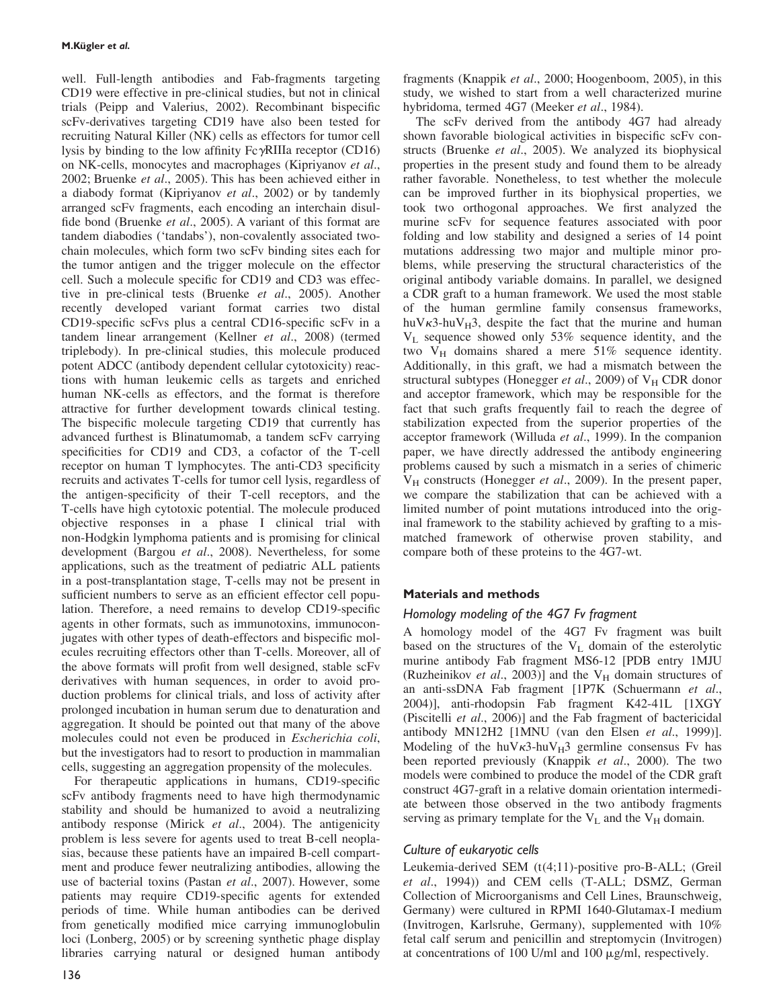well. Full-length antibodies and Fab-fragments targeting CD19 were effective in pre-clinical studies, but not in clinical trials (Peipp and Valerius, 2002). Recombinant bispecific scFv-derivatives targeting CD19 have also been tested for recruiting Natural Killer (NK) cells as effectors for tumor cell lysis by binding to the low affinity  $Fe\gamma$ RIIIa receptor (CD16) on NK-cells, monocytes and macrophages (Kipriyanov et al., 2002; Bruenke et al., 2005). This has been achieved either in a diabody format (Kipriyanov et al., 2002) or by tandemly arranged scFv fragments, each encoding an interchain disulfide bond (Bruenke et al., 2005). A variant of this format are tandem diabodies ('tandabs'), non-covalently associated twochain molecules, which form two scFv binding sites each for the tumor antigen and the trigger molecule on the effector cell. Such a molecule specific for CD19 and CD3 was effective in pre-clinical tests (Bruenke et al., 2005). Another recently developed variant format carries two distal CD19-specific scFvs plus a central CD16-specific scFv in a tandem linear arrangement (Kellner et al., 2008) (termed triplebody). In pre-clinical studies, this molecule produced potent ADCC (antibody dependent cellular cytotoxicity) reactions with human leukemic cells as targets and enriched human NK-cells as effectors, and the format is therefore attractive for further development towards clinical testing. The bispecific molecule targeting CD19 that currently has advanced furthest is Blinatumomab, a tandem scFv carrying specificities for CD19 and CD3, a cofactor of the T-cell receptor on human T lymphocytes. The anti-CD3 specificity recruits and activates T-cells for tumor cell lysis, regardless of the antigen-specificity of their T-cell receptors, and the T-cells have high cytotoxic potential. The molecule produced objective responses in a phase I clinical trial with non-Hodgkin lymphoma patients and is promising for clinical development (Bargou et al., 2008). Nevertheless, for some applications, such as the treatment of pediatric ALL patients in a post-transplantation stage, T-cells may not be present in sufficient numbers to serve as an efficient effector cell population. Therefore, a need remains to develop CD19-specific agents in other formats, such as immunotoxins, immunoconjugates with other types of death-effectors and bispecific molecules recruiting effectors other than T-cells. Moreover, all of the above formats will profit from well designed, stable scFv derivatives with human sequences, in order to avoid production problems for clinical trials, and loss of activity after prolonged incubation in human serum due to denaturation and aggregation. It should be pointed out that many of the above molecules could not even be produced in Escherichia coli, but the investigators had to resort to production in mammalian cells, suggesting an aggregation propensity of the molecules.

For therapeutic applications in humans, CD19-specific scFv antibody fragments need to have high thermodynamic stability and should be humanized to avoid a neutralizing antibody response (Mirick et al., 2004). The antigenicity problem is less severe for agents used to treat B-cell neoplasias, because these patients have an impaired B-cell compartment and produce fewer neutralizing antibodies, allowing the use of bacterial toxins (Pastan et al., 2007). However, some patients may require CD19-specific agents for extended periods of time. While human antibodies can be derived from genetically modified mice carrying immunoglobulin loci (Lonberg, 2005) or by screening synthetic phage display libraries carrying natural or designed human antibody

fragments (Knappik et al., 2000; Hoogenboom, 2005), in this study, we wished to start from a well characterized murine hybridoma, termed 4G7 (Meeker et al., 1984).

The scFv derived from the antibody 4G7 had already shown favorable biological activities in bispecific scFv constructs (Bruenke et al., 2005). We analyzed its biophysical properties in the present study and found them to be already rather favorable. Nonetheless, to test whether the molecule can be improved further in its biophysical properties, we took two orthogonal approaches. We first analyzed the murine scFv for sequence features associated with poor folding and low stability and designed a series of 14 point mutations addressing two major and multiple minor problems, while preserving the structural characteristics of the original antibody variable domains. In parallel, we designed a CDR graft to a human framework. We used the most stable of the human germline family consensus frameworks, huV $\kappa$ 3-huV $_H$ 3, despite the fact that the murine and human  $V<sub>L</sub>$  sequence showed only 53% sequence identity, and the two  $V_H$  domains shared a mere 51% sequence identity. Additionally, in this graft, we had a mismatch between the structural subtypes (Honegger et al., 2009) of  $V_H$  CDR donor and acceptor framework, which may be responsible for the fact that such grafts frequently fail to reach the degree of stabilization expected from the superior properties of the acceptor framework (Willuda et al., 1999). In the companion paper, we have directly addressed the antibody engineering problems caused by such a mismatch in a series of chimeric  $V_H$  constructs (Honegger *et al.*, 2009). In the present paper, we compare the stabilization that can be achieved with a limited number of point mutations introduced into the original framework to the stability achieved by grafting to a mismatched framework of otherwise proven stability, and compare both of these proteins to the 4G7-wt.

## Materials and methods

## Homology modeling of the 4G7 Fv fragment

A homology model of the 4G7 Fv fragment was built based on the structures of the  $V<sub>L</sub>$  domain of the esterolytic murine antibody Fab fragment MS6-12 [PDB entry 1MJU (Ruzheinikov et al., 2003)] and the  $V_H$  domain structures of an anti-ssDNA Fab fragment [1P7K (Schuermann et al., 2004)], anti-rhodopsin Fab fragment K42-41L [1XGY (Piscitelli et al., 2006)] and the Fab fragment of bactericidal antibody MN12H2 [1MNU (van den Elsen et al., 1999)]. Modeling of the huV $\kappa$ 3-huV $_H$ 3 germline consensus Fv has been reported previously (Knappik *et al.*, 2000). The two models were combined to produce the model of the CDR graft construct 4G7-graft in a relative domain orientation intermediate between those observed in the two antibody fragments serving as primary template for the  $V_L$  and the  $V_H$  domain.

## Culture of eukaryotic cells

Leukemia-derived SEM (t(4;11)-positive pro-B-ALL; (Greil et al., 1994)) and CEM cells (T-ALL; DSMZ, German Collection of Microorganisms and Cell Lines, Braunschweig, Germany) were cultured in RPMI 1640-Glutamax-I medium (Invitrogen, Karlsruhe, Germany), supplemented with 10% fetal calf serum and penicillin and streptomycin (Invitrogen) at concentrations of 100 U/ml and 100 mg/ml, respectively.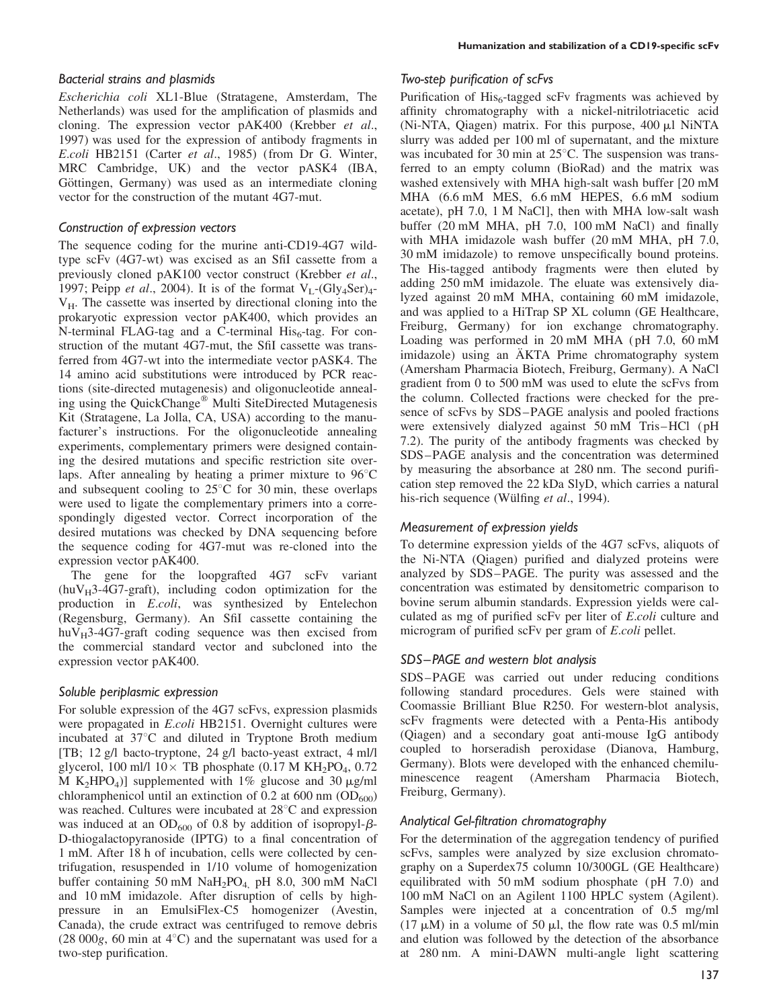### Bacterial strains and plasmids

Escherichia coli XL1-Blue (Stratagene, Amsterdam, The Netherlands) was used for the amplification of plasmids and cloning. The expression vector pAK400 (Krebber et al., 1997) was used for the expression of antibody fragments in E.coli HB2151 (Carter et al., 1985) (from Dr G. Winter, MRC Cambridge, UK) and the vector pASK4 (IBA, Göttingen, Germany) was used as an intermediate cloning vector for the construction of the mutant 4G7-mut.

### Construction of expression vectors

The sequence coding for the murine anti-CD19-4G7 wildtype scFv (4G7-wt) was excised as an SfiI cassette from a previously cloned pAK100 vector construct (Krebber et al., 1997; Peipp *et al.*, 2004). It is of the format  $V_1$ -(Gly<sub>4</sub>Ser)<sub>4</sub>- $V_H$ . The cassette was inserted by directional cloning into the prokaryotic expression vector pAK400, which provides an N-terminal FLAG-tag and a C-terminal  $His<sub>6</sub>$ -tag. For construction of the mutant 4G7-mut, the SfiI cassette was transferred from 4G7-wt into the intermediate vector pASK4. The 14 amino acid substitutions were introduced by PCR reactions (site-directed mutagenesis) and oligonucleotide annealing using the QuickChange<sup>®</sup> Multi SiteDirected Mutagenesis Kit (Stratagene, La Jolla, CA, USA) according to the manufacturer's instructions. For the oligonucleotide annealing experiments, complementary primers were designed containing the desired mutations and specific restriction site overlaps. After annealing by heating a primer mixture to  $96^{\circ}$ C and subsequent cooling to  $25^{\circ}$ C for 30 min, these overlaps were used to ligate the complementary primers into a correspondingly digested vector. Correct incorporation of the desired mutations was checked by DNA sequencing before the sequence coding for 4G7-mut was re-cloned into the expression vector pAK400.

The gene for the loopgrafted 4G7 scFv variant  $(huV_H3-4G7-gradt)$ , including codon optimization for the production in E.coli, was synthesized by Entelechon (Regensburg, Germany). An SfiI cassette containing the  $huV_H$ 3-4G7-graft coding sequence was then excised from the commercial standard vector and subcloned into the expression vector pAK400.

### Soluble periplasmic expression

For soluble expression of the 4G7 scFvs, expression plasmids were propagated in E.coli HB2151. Overnight cultures were incubated at  $37^{\circ}$ C and diluted in Tryptone Broth medium [TB; 12 g/l bacto-tryptone, 24 g/l bacto-yeast extract, 4 ml/l glycerol, 100 ml/l  $10 \times$  TB phosphate (0.17 M KH<sub>2</sub>PO<sub>4</sub>, 0.72) M K<sub>2</sub>HPO<sub>4</sub>)] supplemented with 1% glucose and 30  $\mu$ g/ml chloramphenicol until an extinction of 0.2 at 600 nm  $OD_{600}$ ) was reached. Cultures were incubated at  $28^{\circ}$ C and expression was induced at an  $OD_{600}$  of 0.8 by addition of isopropyl- $\beta$ -D-thiogalactopyranoside (IPTG) to a final concentration of 1 mM. After 18 h of incubation, cells were collected by centrifugation, resuspended in 1/10 volume of homogenization buffer containing 50 mM NaH2PO4, pH 8.0, 300 mM NaCl and 10 mM imidazole. After disruption of cells by highpressure in an EmulsiFlex-C5 homogenizer (Avestin, Canada), the crude extract was centrifuged to remove debris  $(28,000g, 60 \text{ min at } 4^{\circ}\text{C})$  and the supernatant was used for a two-step purification.

#### Two-step purification of scFvs

Purification of  $His<sub>6</sub>$ -tagged scFv fragments was achieved by affinity chromatography with a nickel-nitrilotriacetic acid (Ni-NTA, Qiagen) matrix. For this purpose,  $400 \mu$ l NiNTA slurry was added per 100 ml of supernatant, and the mixture was incubated for 30 min at  $25^{\circ}$ C. The suspension was transferred to an empty column (BioRad) and the matrix was washed extensively with MHA high-salt wash buffer [20 mM MHA (6.6 mM MES, 6.6 mM HEPES, 6.6 mM sodium acetate), pH 7.0, 1 M NaCl], then with MHA low-salt wash buffer (20 mM MHA, pH 7.0, 100 mM NaCl) and finally with MHA imidazole wash buffer (20 mM MHA, pH 7.0, 30 mM imidazole) to remove unspecifically bound proteins. The His-tagged antibody fragments were then eluted by adding 250 mM imidazole. The eluate was extensively dialyzed against 20 mM MHA, containing 60 mM imidazole, and was applied to a HiTrap SP XL column (GE Healthcare, Freiburg, Germany) for ion exchange chromatography. Loading was performed in 20 mM MHA (pH 7.0, 60 mM imidazole) using an ÄKTA Prime chromatography system (Amersham Pharmacia Biotech, Freiburg, Germany). A NaCl gradient from 0 to 500 mM was used to elute the scFvs from the column. Collected fractions were checked for the presence of scFvs by SDS–PAGE analysis and pooled fractions were extensively dialyzed against 50 mM Tris–HCl (pH 7.2). The purity of the antibody fragments was checked by SDS–PAGE analysis and the concentration was determined by measuring the absorbance at 280 nm. The second purification step removed the 22 kDa SlyD, which carries a natural his-rich sequence (Wülfing et al., 1994).

### Measurement of expression yields

To determine expression yields of the 4G7 scFvs, aliquots of the Ni-NTA (Qiagen) purified and dialyzed proteins were analyzed by SDS–PAGE. The purity was assessed and the concentration was estimated by densitometric comparison to bovine serum albumin standards. Expression yields were calculated as mg of purified scFv per liter of E.coli culture and microgram of purified scFv per gram of E.coli pellet.

### SDS–PAGE and western blot analysis

SDS–PAGE was carried out under reducing conditions following standard procedures. Gels were stained with Coomassie Brilliant Blue R250. For western-blot analysis, scFv fragments were detected with a Penta-His antibody (Qiagen) and a secondary goat anti-mouse IgG antibody coupled to horseradish peroxidase (Dianova, Hamburg, Germany). Blots were developed with the enhanced chemiluminescence reagent (Amersham Pharmacia Biotech, Freiburg, Germany).

### Analytical Gel-filtration chromatography

For the determination of the aggregation tendency of purified scFvs, samples were analyzed by size exclusion chromatography on a Superdex75 column 10/300GL (GE Healthcare) equilibrated with 50 mM sodium phosphate (pH 7.0) and 100 mM NaCl on an Agilent 1100 HPLC system (Agilent). Samples were injected at a concentration of 0.5 mg/ml (17  $\mu$ M) in a volume of 50  $\mu$ l, the flow rate was 0.5 ml/min and elution was followed by the detection of the absorbance at 280 nm. A mini-DAWN multi-angle light scattering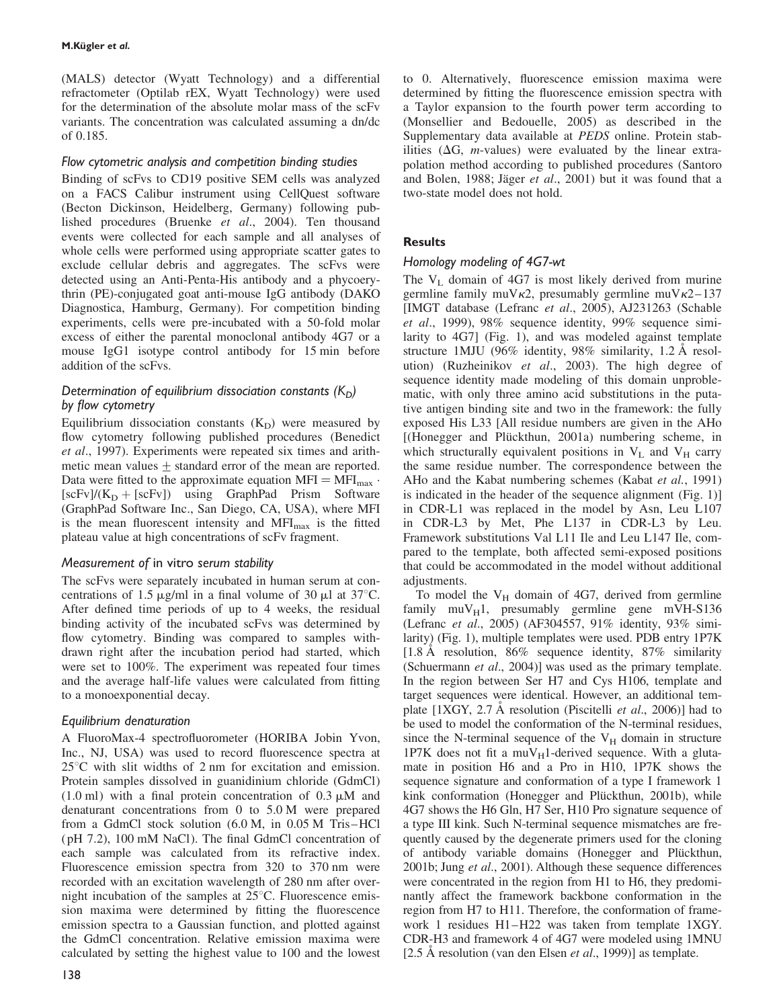(MALS) detector (Wyatt Technology) and a differential refractometer (Optilab rEX, Wyatt Technology) were used for the determination of the absolute molar mass of the scFv variants. The concentration was calculated assuming a dn/dc of 0.185.

## Flow cytometric analysis and competition binding studies

Binding of scFvs to CD19 positive SEM cells was analyzed on a FACS Calibur instrument using CellQuest software (Becton Dickinson, Heidelberg, Germany) following published procedures (Bruenke et al., 2004). Ten thousand events were collected for each sample and all analyses of whole cells were performed using appropriate scatter gates to exclude cellular debris and aggregates. The scFvs were detected using an Anti-Penta-His antibody and a phycoerythrin (PE)-conjugated goat anti-mouse IgG antibody (DAKO Diagnostica, Hamburg, Germany). For competition binding experiments, cells were pre-incubated with a 50-fold molar excess of either the parental monoclonal antibody 4G7 or a mouse IgG1 isotype control antibody for 15 min before addition of the scFvs.

## Determination of equilibrium dissociation constants  $(K<sub>D</sub>)$ by flow cytometry

Equilibrium dissociation constants  $(K_D)$  were measured by flow cytometry following published procedures (Benedict et al., 1997). Experiments were repeated six times and arithmetic mean values  $\pm$  standard error of the mean are reported. Data were fitted to the approximate equation  $MFI = MFI_{max}$ .  $[scFv]/(K_D + [scFv])$  using GraphPad Prism Software (GraphPad Software Inc., San Diego, CA, USA), where MFI is the mean fluorescent intensity and  $MFI<sub>max</sub>$  is the fitted plateau value at high concentrations of scFv fragment.

## Measurement of in vitro serum stability

The scFvs were separately incubated in human serum at concentrations of 1.5  $\mu$ g/ml in a final volume of 30  $\mu$ l at 37°C. After defined time periods of up to 4 weeks, the residual binding activity of the incubated scFvs was determined by flow cytometry. Binding was compared to samples withdrawn right after the incubation period had started, which were set to 100%. The experiment was repeated four times and the average half-life values were calculated from fitting to a monoexponential decay.

## Equilibrium denaturation

A FluoroMax-4 spectrofluorometer (HORIBA Jobin Yvon, Inc., NJ, USA) was used to record fluorescence spectra at  $25^{\circ}$ C with slit widths of 2 nm for excitation and emission. Protein samples dissolved in guanidinium chloride (GdmCl)  $(1.0 \text{ ml})$  with a final protein concentration of  $0.3 \mu\text{M}$  and denaturant concentrations from 0 to 5.0 M were prepared from a GdmCl stock solution (6.0 M, in 0.05 M Tris–HCl (pH 7.2), 100 mM NaCl). The final GdmCl concentration of each sample was calculated from its refractive index. Fluorescence emission spectra from 320 to 370 nm were recorded with an excitation wavelength of 280 nm after overnight incubation of the samples at  $25^{\circ}$ C. Fluorescence emission maxima were determined by fitting the fluorescence emission spectra to a Gaussian function, and plotted against the GdmCl concentration. Relative emission maxima were calculated by setting the highest value to 100 and the lowest

to 0. Alternatively, fluorescence emission maxima were determined by fitting the fluorescence emission spectra with a Taylor expansion to the fourth power term according to (Monsellier and Bedouelle, 2005) as described in the Supplementary data available at PEDS online. Protein stabilities ( $\Delta G$ , *m*-values) were evaluated by the linear extrapolation method according to published procedures (Santoro and Bolen, 1988; Jäger et al., 2001) but it was found that a two-state model does not hold.

## **Results**

## Homology modeling of 4G7-wt

The  $V_L$  domain of 4G7 is most likely derived from murine germline family muV $\kappa$ 2, presumably germline muV $\kappa$ 2–137 [IMGT database (Lefranc et al., 2005), AJ231263 (Schable et al., 1999), 98% sequence identity, 99% sequence similarity to 4G7] (Fig. 1), and was modeled against template structure 1MJU (96% identity, 98% similarity, 1.2  $\AA$  resolution) (Ruzheinikov et al., 2003). The high degree of sequence identity made modeling of this domain unproblematic, with only three amino acid substitutions in the putative antigen binding site and two in the framework: the fully exposed His L33 [All residue numbers are given in the AHo [(Honegger and Plückthun, 2001a) numbering scheme, in which structurally equivalent positions in  $V_L$  and  $V_H$  carry the same residue number. The correspondence between the AHo and the Kabat numbering schemes (Kabat et al., 1991) is indicated in the header of the sequence alignment (Fig. 1)] in CDR-L1 was replaced in the model by Asn, Leu L107 in CDR-L3 by Met, Phe L137 in CDR-L3 by Leu. Framework substitutions Val L11 Ile and Leu L147 Ile, compared to the template, both affected semi-exposed positions that could be accommodated in the model without additional adjustments.

To model the  $V_H$  domain of 4G7, derived from germline family  $muV_H1$ , presumably germline gene mVH-S136 (Lefranc et al., 2005) (AF304557, 91% identity, 93% similarity) (Fig. 1), multiple templates were used. PDB entry 1P7K [1.8 A resolution, 86% sequence identity, 87% similarity (Schuermann et al., 2004)] was used as the primary template. In the region between Ser H7 and Cys H106, template and target sequences were identical. However, an additional template  $[1XGY, 2.7 \text{ Å}$  resolution (Piscitelli *et al.*, 2006)] had to be used to model the conformation of the N-terminal residues, since the N-terminal sequence of the  $V_H$  domain in structure 1P7K does not fit a  $muV_H1$ -derived sequence. With a glutamate in position H6 and a Pro in H10, 1P7K shows the sequence signature and conformation of a type I framework 1 kink conformation (Honegger and Plückthun, 2001b), while 4G7 shows the H6 Gln, H7 Ser, H10 Pro signature sequence of a type III kink. Such N-terminal sequence mismatches are frequently caused by the degenerate primers used for the cloning of antibody variable domains (Honegger and Plückthun, 2001b; Jung et al., 2001). Although these sequence differences were concentrated in the region from H1 to H6, they predominantly affect the framework backbone conformation in the region from H7 to H11. Therefore, the conformation of framework 1 residues H1–H22 was taken from template 1XGY. CDR-H3 and framework 4 of 4G7 were modeled using 1MNU [2.5 A resolution (van den Elsen et al., 1999)] as template.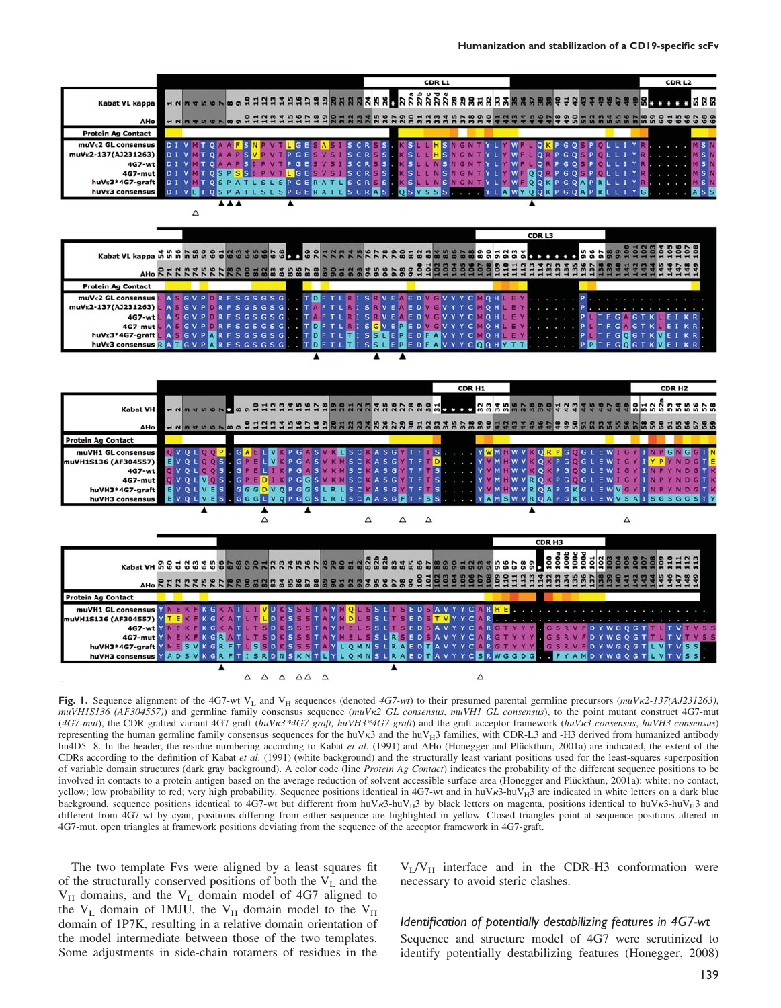

Fig. 1. Sequence alignment of the 4G7-wt V<sub>L</sub> and V<sub>H</sub> sequences (denoted 4G7-wt) to their presumed parental germline precursors ( $muVk2-137(AJ231263)$ ,  $muVHIS136$  (AF304557)) and germline family consensus sequence ( $muVk2$  GL consensus,  $muVHI$  GL consensus), to the point mutant construct 4G7-mut (4G7-mut), the CDR-grafted variant 4G7-graft (huVk3\*4G7-graft, huVH3\*4G7-graft) and the graft acceptor framework (huVk3 consensus, huVH3 consensus) representing the human germline family consensus sequences for the huV $\kappa$ 3 and the huV $\mu$ 3 families, with CDR-L3 and -H3 derived from humanized antibody hu4D5–8. In the header, the residue numbering according to Kabat et al. (1991) and AHo (Honegger and Plückthun, 2001a) are indicated, the extent of the CDRs according to the definition of Kabat et al. (1991) (white background) and the structurally least variant positions used for the least-squares superposition of variable domain structures (dark gray background). A color code (line Protein Ag Contact) indicates the probability of the different sequence positions to be involved in contacts to a protein antigen based on the average reduction of solvent accessible surface area (Honegger and Plückthun, 2001a): white; no contact, yellow; low probability to red; very high probability. Sequence positions identical in 4G7-wt and in huV $\kappa$ 3-huV $_{H}$ 3 are indicated in white letters on a dark blue background, sequence positions identical to 4G7-wt but different from huV $\kappa$ 3-huV<sub>H</sub>3 by black letters on magenta, positions identical to huV $\kappa$ 3-huV<sub>H</sub>3 and different from 4G7-wt by cyan, positions differing from either sequence are highlighted in yellow. Closed triangles point at sequence positions altered in 4G7-mut, open triangles at framework positions deviating from the sequence of the acceptor framework in 4G7-graft.

The two template Fvs were aligned by a least squares fit of the structurally conserved positions of both the  $V<sub>L</sub>$  and the  $V_H$  domains, and the  $V_L$  domain model of 4G7 aligned to the  $V_L$  domain of 1MJU, the  $V_H$  domain model to the  $V_H$ domain of 1P7K, resulting in a relative domain orientation of the model intermediate between those of the two templates. Some adjustments in side-chain rotamers of residues in the

 $V_L/V_H$  interface and in the CDR-H3 conformation were necessary to avoid steric clashes.

## Identification of potentially destabilizing features in 4G7-wt

Sequence and structure model of 4G7 were scrutinized to identify potentially destabilizing features (Honegger, 2008)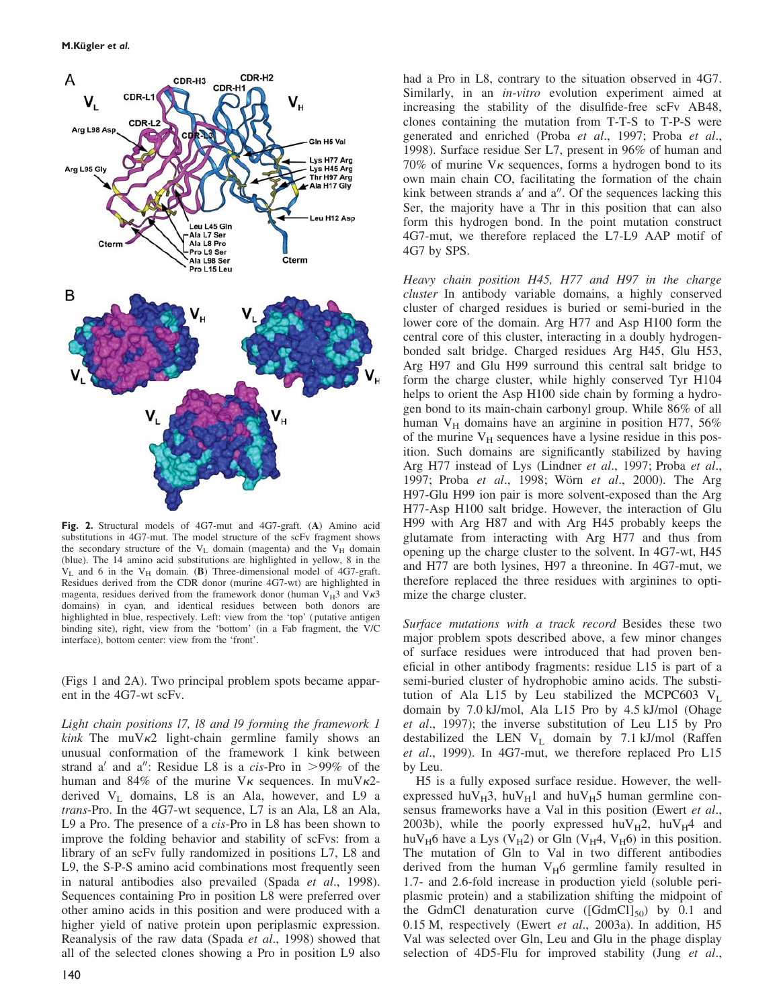

Fig. 2. Structural models of 4G7-mut and 4G7-graft. (A) Amino acid substitutions in 4G7-mut. The model structure of the scFv fragment shows the secondary structure of the  $V_L$  domain (magenta) and the  $V_H$  domain (blue). The 14 amino acid substitutions are highlighted in yellow, 8 in the  $V_L$  and 6 in the  $V_H$  domain. (B) Three-dimensional model of 4G7-graft. Residues derived from the CDR donor (murine 4G7-wt) are highlighted in magenta, residues derived from the framework donor (human  $V_H$ 3 and  $V_K$ 3 domains) in cyan, and identical residues between both donors are highlighted in blue, respectively. Left: view from the 'top' (putative antigen binding site), right, view from the 'bottom' (in a Fab fragment, the V/C interface), bottom center: view from the 'front'.

(Figs 1 and 2A). Two principal problem spots became apparent in the 4G7-wt scFv.

Light chain positions l7, l8 and l9 forming the framework 1 *kink* The muV $\kappa$ 2 light-chain germline family shows an unusual conformation of the framework 1 kink between strand a' and a'': Residue L8 is a cis-Pro in  $>99\%$  of the human and 84% of the murine  $V_K$  sequences. In muV $K^2$ derived  $V<sub>L</sub>$  domains, L8 is an Ala, however, and L9 a trans-Pro. In the 4G7-wt sequence, L7 is an Ala, L8 an Ala, L9 a Pro. The presence of a cis-Pro in L8 has been shown to improve the folding behavior and stability of scFvs: from a library of an scFv fully randomized in positions L7, L8 and L9, the S-P-S amino acid combinations most frequently seen in natural antibodies also prevailed (Spada et al., 1998). Sequences containing Pro in position L8 were preferred over other amino acids in this position and were produced with a higher yield of native protein upon periplasmic expression. Reanalysis of the raw data (Spada et al., 1998) showed that all of the selected clones showing a Pro in position L9 also

had a Pro in L8, contrary to the situation observed in 4G7. Similarly, in an *in-vitro* evolution experiment aimed at increasing the stability of the disulfide-free scFv AB48, clones containing the mutation from T-T-S to T-P-S were generated and enriched (Proba et al., 1997; Proba et al., 1998). Surface residue Ser L7, present in 96% of human and 70% of murine  $V_K$  sequences, forms a hydrogen bond to its own main chain CO, facilitating the formation of the chain kink between strands  $a'$  and  $a''$ . Of the sequences lacking this Ser, the majority have a Thr in this position that can also form this hydrogen bond. In the point mutation construct 4G7-mut, we therefore replaced the L7-L9 AAP motif of 4G7 by SPS.

Heavy chain position H45, H77 and H97 in the charge cluster In antibody variable domains, a highly conserved cluster of charged residues is buried or semi-buried in the lower core of the domain. Arg H77 and Asp H100 form the central core of this cluster, interacting in a doubly hydrogenbonded salt bridge. Charged residues Arg H45, Glu H53, Arg H97 and Glu H99 surround this central salt bridge to form the charge cluster, while highly conserved Tyr H104 helps to orient the Asp H100 side chain by forming a hydrogen bond to its main-chain carbonyl group. While 86% of all human  $V_H$  domains have an arginine in position H77, 56% of the murine  $V_H$  sequences have a lysine residue in this position. Such domains are significantly stabilized by having Arg H77 instead of Lys (Lindner et al., 1997; Proba et al., 1997; Proba et al., 1998; Wörn et al., 2000). The Arg H97-Glu H99 ion pair is more solvent-exposed than the Arg H77-Asp H100 salt bridge. However, the interaction of Glu H99 with Arg H87 and with Arg H45 probably keeps the glutamate from interacting with Arg H77 and thus from opening up the charge cluster to the solvent. In 4G7-wt, H45 and H77 are both lysines, H97 a threonine. In 4G7-mut, we therefore replaced the three residues with arginines to optimize the charge cluster.

Surface mutations with a track record Besides these two major problem spots described above, a few minor changes of surface residues were introduced that had proven beneficial in other antibody fragments: residue L15 is part of a semi-buried cluster of hydrophobic amino acids. The substitution of Ala L15 by Leu stabilized the MCPC603  $V_L$ domain by 7.0 kJ/mol, Ala L15 Pro by 4.5 kJ/mol (Ohage et al., 1997); the inverse substitution of Leu L15 by Pro destabilized the LEN  $V_L$  domain by 7.1 kJ/mol (Raffen et al., 1999). In 4G7-mut, we therefore replaced Pro L15 by Leu.

H5 is a fully exposed surface residue. However, the wellexpressed huV $_{H}$ 3, huV $_{H}$ 1 and huV $_{H}$ 5 human germline consensus frameworks have a Val in this position (Ewert et al., 2003b), while the poorly expressed huV $_{\text{H}}$ 2, huV $_{\text{H}}$ 4 and huV<sub>H</sub>6 have a Lys (V<sub>H</sub>2) or Gln (V<sub>H</sub>4, V<sub>H</sub>6) in this position. The mutation of Gln to Val in two different antibodies derived from the human  $V_H6$  germline family resulted in 1.7- and 2.6-fold increase in production yield (soluble periplasmic protein) and a stabilization shifting the midpoint of the GdmCl denaturation curve  $(\text{[GdmCl]}_{50})$  by 0.1 and 0.15 M, respectively (Ewert et al., 2003a). In addition, H5 Val was selected over Gln, Leu and Glu in the phage display selection of 4D5-Flu for improved stability (Jung et al.,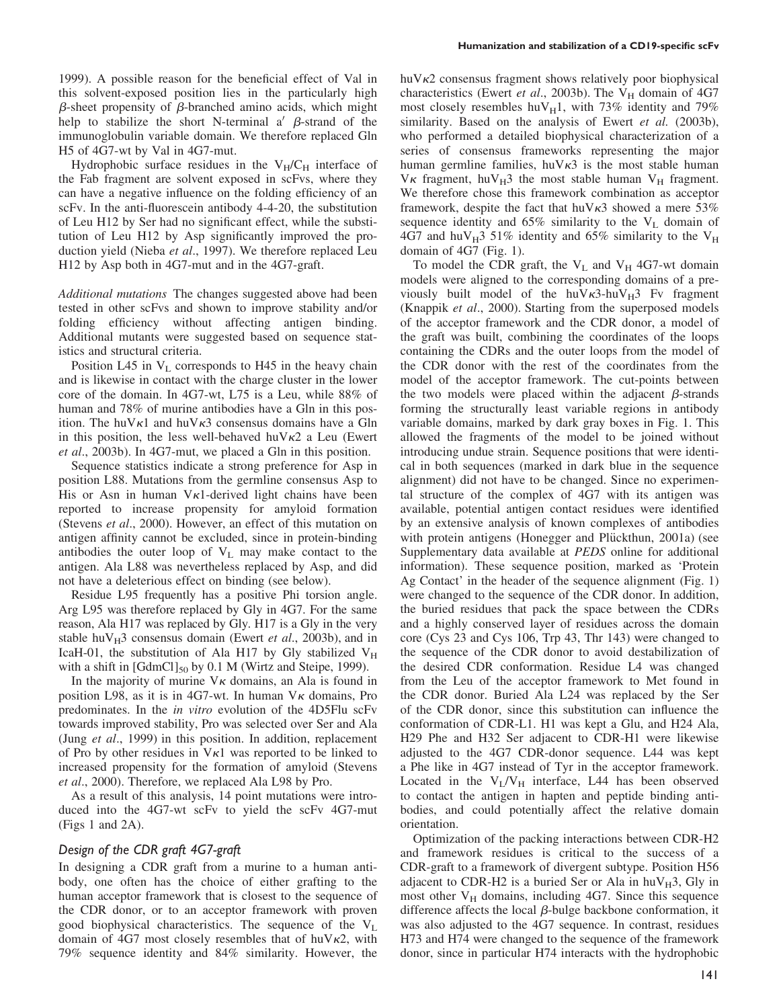1999). A possible reason for the beneficial effect of Val in this solvent-exposed position lies in the particularly high  $\beta$ -sheet propensity of  $\beta$ -branched amino acids, which might help to stabilize the short N-terminal a'  $\beta$ -strand of the immunoglobulin variable domain. We therefore replaced Gln H5 of 4G7-wt by Val in 4G7-mut.

Hydrophobic surface residues in the  $V_H/C_H$  interface of the Fab fragment are solvent exposed in scFvs, where they can have a negative influence on the folding efficiency of an scFv. In the anti-fluorescein antibody 4-4-20, the substitution of Leu H12 by Ser had no significant effect, while the substitution of Leu H12 by Asp significantly improved the production yield (Nieba et al., 1997). We therefore replaced Leu H12 by Asp both in 4G7-mut and in the 4G7-graft.

Additional mutations The changes suggested above had been tested in other scFvs and shown to improve stability and/or folding efficiency without affecting antigen binding. Additional mutants were suggested based on sequence statistics and structural criteria.

Position L45 in  $V<sub>L</sub>$  corresponds to H45 in the heavy chain and is likewise in contact with the charge cluster in the lower core of the domain. In 4G7-wt, L75 is a Leu, while 88% of human and 78% of murine antibodies have a Gln in this position. The huV $\kappa$ 1 and huV $\kappa$ 3 consensus domains have a Gln in this position, the less well-behaved huV $\kappa$ 2 a Leu (Ewert et al., 2003b). In 4G7-mut, we placed a Gln in this position.

Sequence statistics indicate a strong preference for Asp in position L88. Mutations from the germline consensus Asp to His or Asn in human  $V_{\kappa}$ 1-derived light chains have been reported to increase propensity for amyloid formation (Stevens et al., 2000). However, an effect of this mutation on antigen affinity cannot be excluded, since in protein-binding antibodies the outer loop of  $V_L$  may make contact to the antigen. Ala L88 was nevertheless replaced by Asp, and did not have a deleterious effect on binding (see below).

Residue L95 frequently has a positive Phi torsion angle. Arg L95 was therefore replaced by Gly in 4G7. For the same reason, Ala H17 was replaced by Gly. H17 is a Gly in the very stable huV $_{\text{H}}$ 3 consensus domain (Ewert *et al.*, 2003b), and in IcaH-01, the substitution of Ala H17 by Gly stabilized  $V_H$ with a shift in  $[GdmCl]_{50}$  by 0.1 M (Wirtz and Steipe, 1999).

In the majority of murine  $V_K$  domains, an Ala is found in position L98, as it is in 4G7-wt. In human  $V_K$  domains, Pro predominates. In the in vitro evolution of the 4D5Flu scFv towards improved stability, Pro was selected over Ser and Ala (Jung et al., 1999) in this position. In addition, replacement of Pro by other residues in  $V_{\kappa}1$  was reported to be linked to increased propensity for the formation of amyloid (Stevens et al., 2000). Therefore, we replaced Ala L98 by Pro.

As a result of this analysis, 14 point mutations were introduced into the 4G7-wt scFv to yield the scFv 4G7-mut (Figs 1 and 2A).

#### Design of the CDR graft 4G7-graft

In designing a CDR graft from a murine to a human antibody, one often has the choice of either grafting to the human acceptor framework that is closest to the sequence of the CDR donor, or to an acceptor framework with proven good biophysical characteristics. The sequence of the  $V_L$ domain of 4G7 most closely resembles that of  $h\nu\kappa$ 2, with 79% sequence identity and 84% similarity. However, the

 $huvk2$  consensus fragment shows relatively poor biophysical characteristics (Ewert et al., 2003b). The  $V_H$  domain of 4G7 most closely resembles huV $_H1$ , with 73% identity and 79% similarity. Based on the analysis of Ewert et al. (2003b), who performed a detailed biophysical characterization of a series of consensus frameworks representing the major human germline families, huV $\kappa$ 3 is the most stable human  $V_K$  fragment, hu $V_H$ 3 the most stable human  $V_H$  fragment. We therefore chose this framework combination as acceptor framework, despite the fact that huV $\kappa$ 3 showed a mere 53% sequence identity and  $65\%$  similarity to the  $V_L$  domain of 4G7 and huV $_{\text{H}}$ 3 51% identity and 65% similarity to the V<sub>H</sub> domain of 4G7 (Fig. 1).

To model the CDR graft, the  $V_L$  and  $V_H$  4G7-wt domain models were aligned to the corresponding domains of a previously built model of the huV $\kappa$ 3-huV $_H$ 3 Fv fragment (Knappik et al., 2000). Starting from the superposed models of the acceptor framework and the CDR donor, a model of the graft was built, combining the coordinates of the loops containing the CDRs and the outer loops from the model of the CDR donor with the rest of the coordinates from the model of the acceptor framework. The cut-points between the two models were placed within the adjacent  $\beta$ -strands forming the structurally least variable regions in antibody variable domains, marked by dark gray boxes in Fig. 1. This allowed the fragments of the model to be joined without introducing undue strain. Sequence positions that were identical in both sequences (marked in dark blue in the sequence alignment) did not have to be changed. Since no experimental structure of the complex of 4G7 with its antigen was available, potential antigen contact residues were identified by an extensive analysis of known complexes of antibodies with protein antigens (Honegger and Plückthun, 2001a) (see Supplementary data available at PEDS online for additional information). These sequence position, marked as 'Protein Ag Contact' in the header of the sequence alignment (Fig. 1) were changed to the sequence of the CDR donor. In addition, the buried residues that pack the space between the CDRs and a highly conserved layer of residues across the domain core (Cys 23 and Cys 106, Trp 43, Thr 143) were changed to the sequence of the CDR donor to avoid destabilization of the desired CDR conformation. Residue L4 was changed from the Leu of the acceptor framework to Met found in the CDR donor. Buried Ala L24 was replaced by the Ser of the CDR donor, since this substitution can influence the conformation of CDR-L1. H1 was kept a Glu, and H24 Ala, H29 Phe and H32 Ser adjacent to CDR-H1 were likewise adjusted to the 4G7 CDR-donor sequence. L44 was kept a Phe like in 4G7 instead of Tyr in the acceptor framework. Located in the  $V_L/V_H$  interface, L44 has been observed to contact the antigen in hapten and peptide binding antibodies, and could potentially affect the relative domain orientation.

Optimization of the packing interactions between CDR-H2 and framework residues is critical to the success of a CDR-graft to a framework of divergent subtype. Position H56 adjacent to CDR-H2 is a buried Ser or Ala in  $huv_{H}3$ , Gly in most other  $V_H$  domains, including 4G7. Since this sequence difference affects the local  $\beta$ -bulge backbone conformation, it was also adjusted to the 4G7 sequence. In contrast, residues H73 and H74 were changed to the sequence of the framework donor, since in particular H74 interacts with the hydrophobic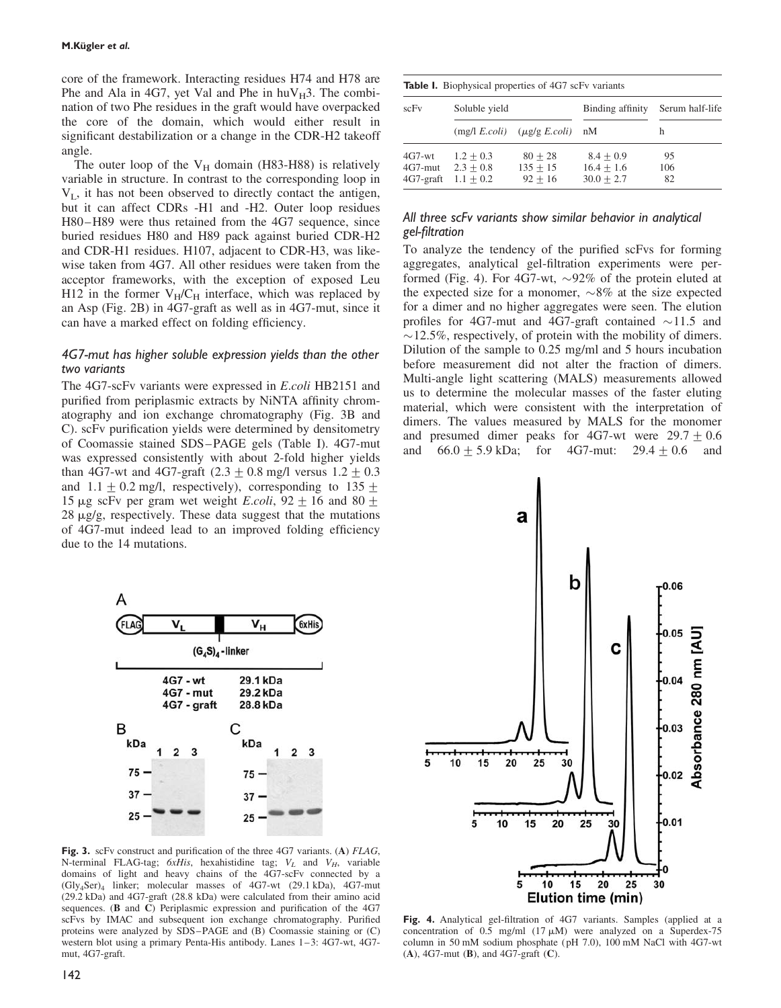core of the framework. Interacting residues H74 and H78 are Phe and Ala in 4G7, yet Val and Phe in  $huv_H3$ . The combination of two Phe residues in the graft would have overpacked the core of the domain, which would either result in significant destabilization or a change in the CDR-H2 takeoff angle.

The outer loop of the  $V_H$  domain (H83-H88) is relatively variable in structure. In contrast to the corresponding loop in  $V_{L}$ , it has not been observed to directly contact the antigen, but it can affect CDRs -H1 and -H2. Outer loop residues H80–H89 were thus retained from the 4G7 sequence, since buried residues H80 and H89 pack against buried CDR-H2 and CDR-H1 residues. H107, adjacent to CDR-H3, was likewise taken from 4G7. All other residues were taken from the acceptor frameworks, with the exception of exposed Leu H12 in the former  $V_H/C_H$  interface, which was replaced by an Asp (Fig. 2B) in 4G7-graft as well as in 4G7-mut, since it can have a marked effect on folding efficiency.

### 4G7-mut has higher soluble expression yields than the other two variants

The 4G7-scFv variants were expressed in E.coli HB2151 and purified from periplasmic extracts by NiNTA affinity chromatography and ion exchange chromatography (Fig. 3B and C). scFv purification yields were determined by densitometry of Coomassie stained SDS–PAGE gels (Table I). 4G7-mut was expressed consistently with about 2-fold higher yields than 4G7-wt and 4G7-graft  $(2.3 \pm 0.8 \text{ mg/l}$  versus  $1.2 \pm 0.3$ and  $1.1 \pm 0.2$  mg/l, respectively), corresponding to  $135 \pm 1.1$ 15 µg scFv per gram wet weight *E.coli*,  $92 \pm 16$  and  $80 \pm 16$  $28 \mu g/g$ , respectively. These data suggest that the mutations of 4G7-mut indeed lead to an improved folding efficiency due to the 14 mutations.



Fig. 3. scFv construct and purification of the three 4G7 variants. (A) FLAG, N-terminal FLAG-tag;  $6xHis$ , hexahistidine tag;  $V_L$  and  $V_H$ , variable domains of light and heavy chains of the 4G7-scFv connected by a (Gly4Ser)4 linker; molecular masses of 4G7-wt (29.1 kDa), 4G7-mut (29.2 kDa) and 4G7-graft (28.8 kDa) were calculated from their amino acid sequences. (B and C) Periplasmic expression and purification of the 4G7 scFvs by IMAC and subsequent ion exchange chromatography. Purified proteins were analyzed by SDS–PAGE and (B) Coomassie staining or (C) western blot using a primary Penta-His antibody. Lanes 1–3: 4G7-wt, 4G7 mut, 4G7-graft.

|  | <b>Table I.</b> Biophysical properties of 4G7 scFv variants |  |
|--|-------------------------------------------------------------|--|
|  |                                                             |  |

| scFv                                | Soluble yield                             |                                      | Binding affinity                            | Serum half-life |
|-------------------------------------|-------------------------------------------|--------------------------------------|---------------------------------------------|-----------------|
|                                     |                                           | $(mg/l E. coli)$ $(\mu g/g E. coli)$ | nM                                          | h               |
| $4G7-wt$<br>4G7-mut<br>$4G7$ -graft | $1.2 + 0.3$<br>$2.3 + 0.8$<br>$1.1 + 0.2$ | $80 + 28$<br>$135 + 15$<br>$92 + 16$ | $8.4 + 0.9$<br>$16.4 + 1.6$<br>$30.0 + 2.7$ | 95<br>106<br>82 |

#### All three scFv variants show similar behavior in analytical gel-filtration

To analyze the tendency of the purified scFvs for forming aggregates, analytical gel-filtration experiments were performed (Fig. 4). For 4G7-wt,  $\sim$ 92% of the protein eluted at the expected size for a monomer,  $\sim 8\%$  at the size expected for a dimer and no higher aggregates were seen. The elution profiles for 4G7-mut and 4G7-graft contained  $\sim$ 11.5 and  $\sim$ 12.5%, respectively, of protein with the mobility of dimers. Dilution of the sample to 0.25 mg/ml and 5 hours incubation before measurement did not alter the fraction of dimers. Multi-angle light scattering (MALS) measurements allowed us to determine the molecular masses of the faster eluting material, which were consistent with the interpretation of dimers. The values measured by MALS for the monomer and presumed dimer peaks for 4G7-wt were  $29.7 \pm 0.6$ and  $66.0 \pm 5.9 \text{ kDa}$ ; for  $4G7$ -mut:  $29.4 \pm 0.6$  and



Fig. 4. Analytical gel-filtration of 4G7 variants. Samples (applied at a concentration of  $0.5 \text{ mg/ml}$  (17  $\mu$ M) were analyzed on a Superdex-75 column in 50 mM sodium phosphate (pH 7.0), 100 mM NaCl with 4G7-wt (A), 4G7-mut (B), and 4G7-graft (C).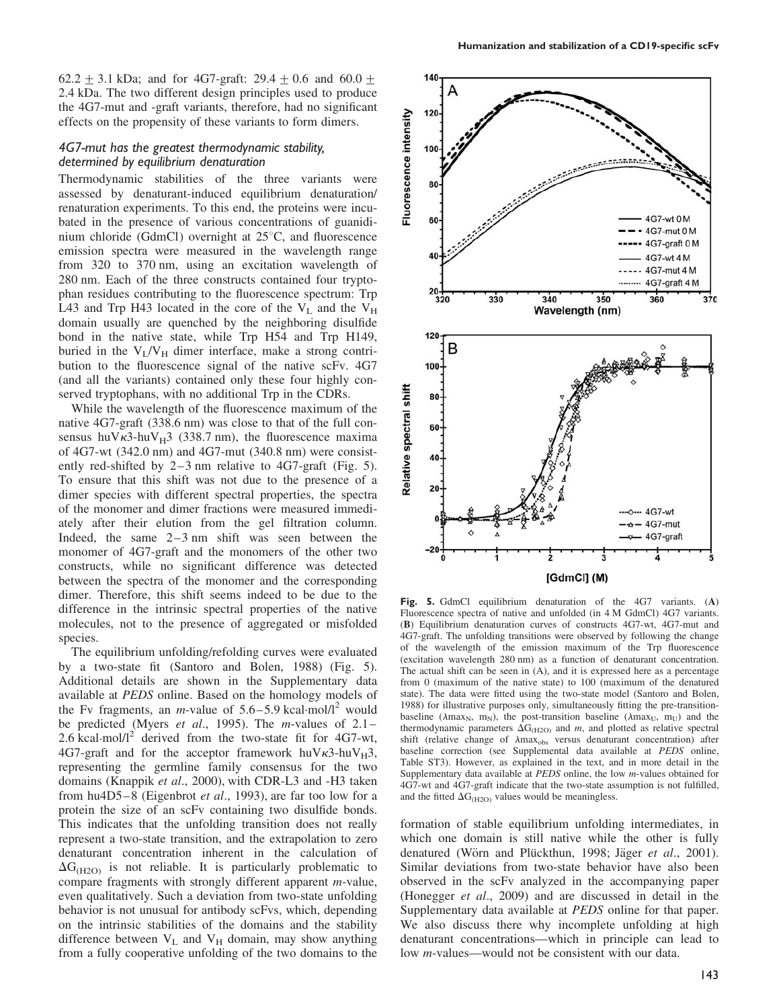62.2  $\pm$  3.1 kDa; and for 4G7-graft: 29.4  $\pm$  0.6 and 60.0  $\pm$ 2.4 kDa. The two different design principles used to produce the 4G7-mut and -graft variants, therefore, had no significant effects on the propensity of these variants to form dimers.

#### 4G7-mut has the greatest thermodynamic stability, determined by equilibrium denaturation

Thermodynamic stabilities of the three variants were assessed by denaturant-induced equilibrium denaturation/ renaturation experiments. To this end, the proteins were incubated in the presence of various concentrations of guanidinium chloride (GdmCl) overnight at  $25^{\circ}$ C, and fluorescence emission spectra were measured in the wavelength range from 320 to 370 nm, using an excitation wavelength of 280 nm. Each of the three constructs contained four tryptophan residues contributing to the fluorescence spectrum: Trp L43 and Trp H43 located in the core of the  $V_L$  and the  $V_H$ domain usually are quenched by the neighboring disulfide bond in the native state, while Trp H54 and Trp H149, buried in the  $V_I/V_H$  dimer interface, make a strong contribution to the fluorescence signal of the native scFv. 4G7 (and all the variants) contained only these four highly conserved tryptophans, with no additional Trp in the CDRs.

While the wavelength of the fluorescence maximum of the native 4G7-graft (338.6 nm) was close to that of the full consensus huV $\kappa$ 3-huV<sub>H</sub>3 (338.7 nm), the fluorescence maxima of 4G7-wt (342.0 nm) and 4G7-mut (340.8 nm) were consistently red-shifted by 2–3 nm relative to 4G7-graft (Fig. 5). To ensure that this shift was not due to the presence of a dimer species with different spectral properties, the spectra of the monomer and dimer fractions were measured immediately after their elution from the gel filtration column. Indeed, the same 2–3 nm shift was seen between the monomer of 4G7-graft and the monomers of the other two constructs, while no significant difference was detected between the spectra of the monomer and the corresponding dimer. Therefore, this shift seems indeed to be due to the difference in the intrinsic spectral properties of the native molecules, not to the presence of aggregated or misfolded species.

The equilibrium unfolding/refolding curves were evaluated by a two-state fit (Santoro and Bolen, 1988) (Fig. 5). Additional details are shown in the Supplementary data available at PEDS online. Based on the homology models of the Fv fragments, an *m*-value of  $5.6-5.9$  kcal·mol/l<sup>2</sup> would be predicted (Myers et al., 1995). The m-values of  $2.1-$ 2.6 kcal.mol/ $l^2$  derived from the two-state fit for 4G7-wt, 4G7-graft and for the acceptor framework huV $\kappa$ 3-huV $_H$ 3, representing the germline family consensus for the two domains (Knappik et al., 2000), with CDR-L3 and -H3 taken from hu4D5–8 (Eigenbrot et al., 1993), are far too low for a protein the size of an scFv containing two disulfide bonds. This indicates that the unfolding transition does not really represent a two-state transition, and the extrapolation to zero denaturant concentration inherent in the calculation of  $\Delta G_{(H2O)}$  is not reliable. It is particularly problematic to compare fragments with strongly different apparent m-value, even qualitatively. Such a deviation from two-state unfolding behavior is not unusual for antibody scFvs, which, depending on the intrinsic stabilities of the domains and the stability difference between  $V_L$  and  $V_H$  domain, may show anything from a fully cooperative unfolding of the two domains to the



Fig. 5. GdmCl equilibrium denaturation of the 4G7 variants. (A) Fluorescence spectra of native and unfolded (in 4 M GdmCl) 4G7 variants. (B) Equilibrium denaturation curves of constructs 4G7-wt, 4G7-mut and 4G7-graft. The unfolding transitions were observed by following the change of the wavelength of the emission maximum of the Trp fluorescence (excitation wavelength 280 nm) as a function of denaturant concentration. The actual shift can be seen in (A), and it is expressed here as a percentage from 0 (maximum of the native state) to 100 (maximum of the denatured state). The data were fitted using the two-state model (Santoro and Bolen, 1988) for illustrative purposes only, simultaneously fitting the pre-transitionbaseline ( $\lambda$ max<sub>N</sub>, m<sub>N</sub>), the post-transition baseline ( $\lambda$ max<sub>U</sub>, m<sub>U</sub>) and the thermodynamic parameters  $\Delta G_{(H2O)}$  and m, and plotted as relative spectral shift (relative change of  $\lambda$ max<sub>obs</sub> versus denaturant concentration) after baseline correction (see Supplemental data available at PEDS online, Table ST3). However, as explained in the text, and in more detail in the Supplementary data available at PEDS online, the low m-values obtained for 4G7-wt and 4G7-graft indicate that the two-state assumption is not fulfilled, and the fitted  $\Delta G_{\text{(H2O)}}$  values would be meaningless.

formation of stable equilibrium unfolding intermediates, in which one domain is still native while the other is fully denatured (Wörn and Plückthun, 1998; Jäger et al., 2001). Similar deviations from two-state behavior have also been observed in the scFv analyzed in the accompanying paper (Honegger et al., 2009) and are discussed in detail in the Supplementary data available at PEDS online for that paper. We also discuss there why incomplete unfolding at high denaturant concentrations—which in principle can lead to low m-values—would not be consistent with our data.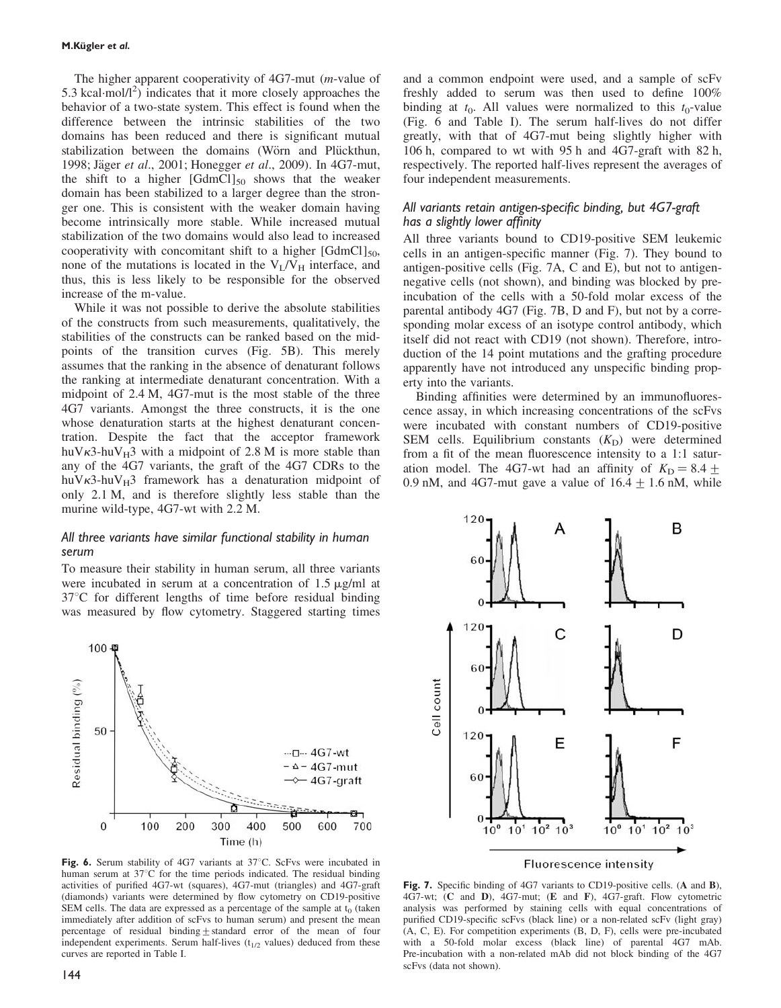The higher apparent cooperativity of 4G7-mut (m-value of 5.3 kcal $\cdot$ mol/l<sup>2</sup>) indicates that it more closely approaches the behavior of a two-state system. This effect is found when the difference between the intrinsic stabilities of the two domains has been reduced and there is significant mutual stabilization between the domains (Wörn and Plückthun, 1998; Jäger et al., 2001; Honegger et al., 2009). In 4G7-mut, the shift to a higher  $[GdmCl]_{50}$  shows that the weaker domain has been stabilized to a larger degree than the stronger one. This is consistent with the weaker domain having become intrinsically more stable. While increased mutual stabilization of the two domains would also lead to increased cooperativity with concomitant shift to a higher  $[GdmCl]_{50}$ , none of the mutations is located in the  $V_L/V_H$  interface, and thus, this is less likely to be responsible for the observed increase of the m-value.

While it was not possible to derive the absolute stabilities of the constructs from such measurements, qualitatively, the stabilities of the constructs can be ranked based on the midpoints of the transition curves (Fig. 5B). This merely assumes that the ranking in the absence of denaturant follows the ranking at intermediate denaturant concentration. With a midpoint of 2.4 M, 4G7-mut is the most stable of the three 4G7 variants. Amongst the three constructs, it is the one whose denaturation starts at the highest denaturant concentration. Despite the fact that the acceptor framework huV $\kappa$ 3-huV<sub>H</sub>3 with a midpoint of 2.8 M is more stable than any of the 4G7 variants, the graft of the 4G7 CDRs to the huV $\kappa$ 3-huV $_H$ 3 framework has a denaturation midpoint of only 2.1 M, and is therefore slightly less stable than the murine wild-type, 4G7-wt with 2.2 M.

#### All three variants have similar functional stability in human serum

To measure their stability in human serum, all three variants were incubated in serum at a concentration of  $1.5 \mu g/ml$  at  $37^{\circ}$ C for different lengths of time before residual binding was measured by flow cytometry. Staggered starting times



Fig. 6. Serum stability of 4G7 variants at 37°C. ScFvs were incubated in human serum at  $37^{\circ}$ C for the time periods indicated. The residual binding activities of purified 4G7-wt (squares), 4G7-mut (triangles) and 4G7-graft (diamonds) variants were determined by flow cytometry on CD19-positive SEM cells. The data are expressed as a percentage of the sample at  $t_0$  (taken immediately after addition of scFvs to human serum) and present the mean percentage of residual binding  $\pm$  standard error of the mean of four independent experiments. Serum half-lives  $(t_{1/2}$  values) deduced from these curves are reported in Table I.

and a common endpoint were used, and a sample of scFv freshly added to serum was then used to define 100% binding at  $t_0$ . All values were normalized to this  $t_0$ -value (Fig. 6 and Table I). The serum half-lives do not differ greatly, with that of 4G7-mut being slightly higher with 106 h, compared to wt with 95 h and 4G7-graft with 82 h, respectively. The reported half-lives represent the averages of four independent measurements.

#### All variants retain antigen-specific binding, but 4G7-graft has a slightly lower affinity

All three variants bound to CD19-positive SEM leukemic cells in an antigen-specific manner (Fig. 7). They bound to antigen-positive cells (Fig. 7A, C and E), but not to antigennegative cells (not shown), and binding was blocked by preincubation of the cells with a 50-fold molar excess of the parental antibody 4G7 (Fig. 7B, D and F), but not by a corresponding molar excess of an isotype control antibody, which itself did not react with CD19 (not shown). Therefore, introduction of the 14 point mutations and the grafting procedure apparently have not introduced any unspecific binding property into the variants.

Binding affinities were determined by an immunofluorescence assay, in which increasing concentrations of the scFvs were incubated with constant numbers of CD19-positive SEM cells. Equilibrium constants  $(K_D)$  were determined from a fit of the mean fluorescence intensity to a 1:1 saturation model. The 4G7-wt had an affinity of  $K_D = 8.4 +$ 0.9 nM, and 4G7-mut gave a value of  $16.4 \pm 1.6$  nM, while

120 B А 120 C D Cell count 120 E F 60  $10^2$   $10^3$  $10^1$   $10^2$  $10<sup>°</sup>$  $10<sup>1</sup>$  $10^{\circ}$  $10^3$ **Fluorescence intensity** 

Fig. 7. Specific binding of 4G7 variants to CD19-positive cells. (A and B), 4G7-wt; (C and D), 4G7-mut; (E and F), 4G7-graft. Flow cytometric analysis was performed by staining cells with equal concentrations of purified CD19-specific scFvs (black line) or a non-related scFv (light gray) (A, C, E). For competition experiments (B, D, F), cells were pre-incubated with a 50-fold molar excess (black line) of parental 4G7 mAb. Pre-incubation with a non-related mAb did not block binding of the 4G7 scFvs (data not shown).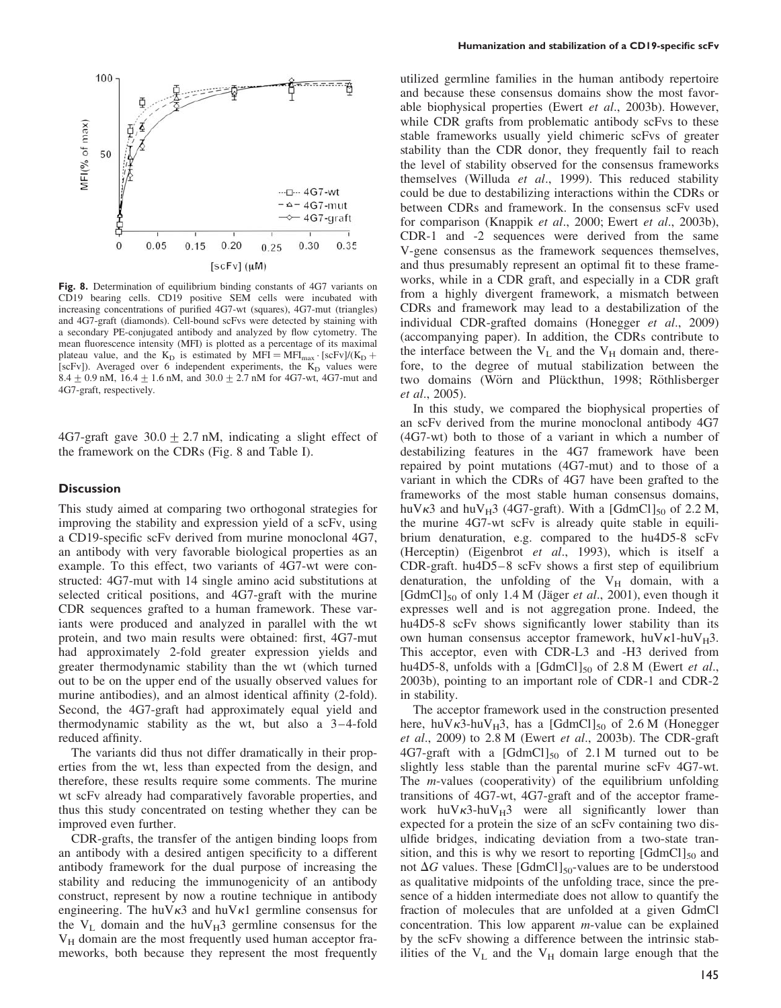

Fig. 8. Determination of equilibrium binding constants of 4G7 variants on CD19 bearing cells. CD19 positive SEM cells were incubated with increasing concentrations of purified 4G7-wt (squares), 4G7-mut (triangles) and 4G7-graft (diamonds). Cell-bound scFvs were detected by staining with a secondary PE-conjugated antibody and analyzed by flow cytometry. The mean fluorescence intensity (MFI) is plotted as a percentage of its maximal plateau value, and the  $K_D$  is estimated by MFI = MFI<sub>max</sub> · [scFv]/( $K_D$  + [scFv]). Averaged over 6 independent experiments, the  $K_D$  values were 8.4  $\pm$  0.9 nM, 16.4  $\pm$  1.6 nM, and 30.0  $\pm$  2.7 nM for 4G7-wt, 4G7-mut and 4G7-graft, respectively.

4G7-graft gave  $30.0 \pm 2.7$  nM, indicating a slight effect of the framework on the CDRs (Fig. 8 and Table I).

#### **Discussion**

This study aimed at comparing two orthogonal strategies for improving the stability and expression yield of a scFv, using a CD19-specific scFv derived from murine monoclonal 4G7, an antibody with very favorable biological properties as an example. To this effect, two variants of 4G7-wt were constructed: 4G7-mut with 14 single amino acid substitutions at selected critical positions, and 4G7-graft with the murine CDR sequences grafted to a human framework. These variants were produced and analyzed in parallel with the wt protein, and two main results were obtained: first, 4G7-mut had approximately 2-fold greater expression yields and greater thermodynamic stability than the wt (which turned out to be on the upper end of the usually observed values for murine antibodies), and an almost identical affinity (2-fold). Second, the 4G7-graft had approximately equal yield and thermodynamic stability as the wt, but also a 3–4-fold reduced affinity.

The variants did thus not differ dramatically in their properties from the wt, less than expected from the design, and therefore, these results require some comments. The murine wt scFv already had comparatively favorable properties, and thus this study concentrated on testing whether they can be improved even further.

CDR-grafts, the transfer of the antigen binding loops from an antibody with a desired antigen specificity to a different antibody framework for the dual purpose of increasing the stability and reducing the immunogenicity of an antibody construct, represent by now a routine technique in antibody engineering. The huV $\kappa$ 3 and huV $\kappa$ 1 germline consensus for the  $V_L$  domain and the hu $V_H$ 3 germline consensus for the  $V_H$  domain are the most frequently used human acceptor frameworks, both because they represent the most frequently

utilized germline families in the human antibody repertoire and because these consensus domains show the most favorable biophysical properties (Ewert et al., 2003b). However, while CDR grafts from problematic antibody scFvs to these stable frameworks usually yield chimeric scFvs of greater stability than the CDR donor, they frequently fail to reach the level of stability observed for the consensus frameworks themselves (Willuda et al., 1999). This reduced stability could be due to destabilizing interactions within the CDRs or between CDRs and framework. In the consensus scFv used for comparison (Knappik et al., 2000; Ewert et al., 2003b), CDR-1 and -2 sequences were derived from the same V-gene consensus as the framework sequences themselves, and thus presumably represent an optimal fit to these frameworks, while in a CDR graft, and especially in a CDR graft from a highly divergent framework, a mismatch between CDRs and framework may lead to a destabilization of the individual CDR-grafted domains (Honegger et al., 2009) (accompanying paper). In addition, the CDRs contribute to the interface between the  $V_L$  and the  $V_H$  domain and, therefore, to the degree of mutual stabilization between the two domains (Wörn and Plückthun, 1998; Röthlisberger et al., 2005).

In this study, we compared the biophysical properties of an scFv derived from the murine monoclonal antibody 4G7 (4G7-wt) both to those of a variant in which a number of destabilizing features in the 4G7 framework have been repaired by point mutations (4G7-mut) and to those of a variant in which the CDRs of 4G7 have been grafted to the frameworks of the most stable human consensus domains, huV $\kappa$ 3 and huV $_{\rm H}$ 3 (4G7-graft). With a [GdmCl]<sub>50</sub> of 2.2 M, the murine 4G7-wt scFv is already quite stable in equilibrium denaturation, e.g. compared to the hu4D5-8 scFv (Herceptin) (Eigenbrot et al., 1993), which is itself a CDR-graft. hu4D5–8 scFv shows a first step of equilibrium denaturation, the unfolding of the  $V_H$  domain, with a [GdmCl]<sub>50</sub> of only 1.4 M (Jäger *et al.*, 2001), even though it expresses well and is not aggregation prone. Indeed, the hu4D5-8 scFv shows significantly lower stability than its own human consensus acceptor framework,  $h u V_{\kappa}1-h u V_{\kappa}3$ . This acceptor, even with CDR-L3 and -H3 derived from hu4D5-8, unfolds with a  $[GdmCl]_{50}$  of 2.8 M (Ewert et al., 2003b), pointing to an important role of CDR-1 and CDR-2 in stability.

The acceptor framework used in the construction presented here, huV $\kappa$ 3-huV $_H$ 3, has a [GdmCl]<sub>50</sub> of 2.6 M (Honegger et al., 2009) to 2.8 M (Ewert et al., 2003b). The CDR-graft 4G7-graft with a  $[GdmCl]_{50}$  of 2.1 M turned out to be slightly less stable than the parental murine scFv 4G7-wt. The  $m$ -values (cooperativity) of the equilibrium unfolding transitions of 4G7-wt, 4G7-graft and of the acceptor framework huV $\kappa$ 3-huV $_{\text{H}}$ 3 were all significantly lower than expected for a protein the size of an scFv containing two disulfide bridges, indicating deviation from a two-state transition, and this is why we resort to reporting  $[GdmCl]_{50}$  and not  $\Delta G$  values. These [GdmCl]<sub>50</sub>-values are to be understood as qualitative midpoints of the unfolding trace, since the presence of a hidden intermediate does not allow to quantify the fraction of molecules that are unfolded at a given GdmCl concentration. This low apparent m-value can be explained by the scFv showing a difference between the intrinsic stabilities of the  $V_L$  and the  $V_H$  domain large enough that the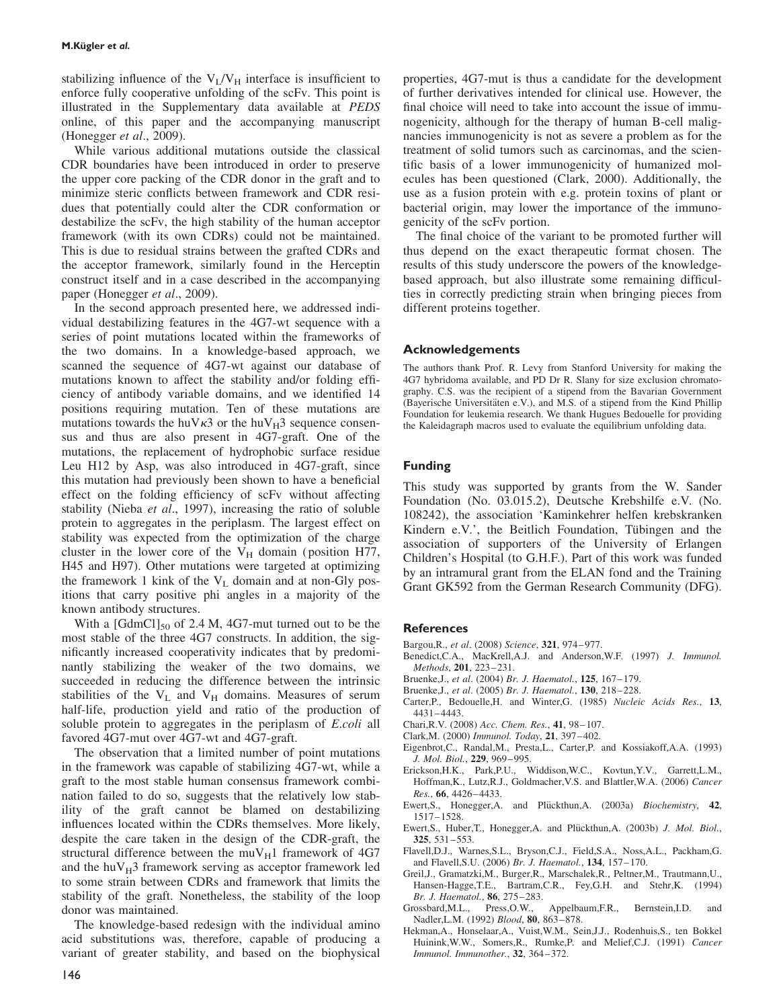stabilizing influence of the  $V_L/V_H$  interface is insufficient to enforce fully cooperative unfolding of the scFv. This point is illustrated in the Supplementary data available at PEDS online, of this paper and the accompanying manuscript (Honegger et al., 2009).

While various additional mutations outside the classical CDR boundaries have been introduced in order to preserve the upper core packing of the CDR donor in the graft and to minimize steric conflicts between framework and CDR residues that potentially could alter the CDR conformation or destabilize the scFv, the high stability of the human acceptor framework (with its own CDRs) could not be maintained. This is due to residual strains between the grafted CDRs and the acceptor framework, similarly found in the Herceptin construct itself and in a case described in the accompanying paper (Honegger *et al.*, 2009).

In the second approach presented here, we addressed individual destabilizing features in the 4G7-wt sequence with a series of point mutations located within the frameworks of the two domains. In a knowledge-based approach, we scanned the sequence of 4G7-wt against our database of mutations known to affect the stability and/or folding efficiency of antibody variable domains, and we identified 14 positions requiring mutation. Ten of these mutations are mutations towards the huV $\kappa$ 3 or the huV $_H$ 3 sequence consensus and thus are also present in 4G7-graft. One of the mutations, the replacement of hydrophobic surface residue Leu H12 by Asp, was also introduced in 4G7-graft, since this mutation had previously been shown to have a beneficial effect on the folding efficiency of scFv without affecting stability (Nieba et al., 1997), increasing the ratio of soluble protein to aggregates in the periplasm. The largest effect on stability was expected from the optimization of the charge cluster in the lower core of the  $V_H$  domain (position H77, H45 and H97). Other mutations were targeted at optimizing the framework 1 kink of the  $V<sub>L</sub>$  domain and at non-Gly positions that carry positive phi angles in a majority of the known antibody structures.

With a  $[GdmCl]_{50}$  of 2.4 M, 4G7-mut turned out to be the most stable of the three 4G7 constructs. In addition, the significantly increased cooperativity indicates that by predominantly stabilizing the weaker of the two domains, we succeeded in reducing the difference between the intrinsic stabilities of the  $V_L$  and  $V_H$  domains. Measures of serum half-life, production yield and ratio of the production of soluble protein to aggregates in the periplasm of *E.coli* all favored 4G7-mut over 4G7-wt and 4G7-graft.

The observation that a limited number of point mutations in the framework was capable of stabilizing 4G7-wt, while a graft to the most stable human consensus framework combination failed to do so, suggests that the relatively low stability of the graft cannot be blamed on destabilizing influences located within the CDRs themselves. More likely, despite the care taken in the design of the CDR-graft, the structural difference between the mu $V_H1$  framework of 4G7 and the  $huv_H3$  framework serving as acceptor framework led to some strain between CDRs and framework that limits the stability of the graft. Nonetheless, the stability of the loop donor was maintained.

The knowledge-based redesign with the individual amino acid substitutions was, therefore, capable of producing a variant of greater stability, and based on the biophysical properties, 4G7-mut is thus a candidate for the development of further derivatives intended for clinical use. However, the final choice will need to take into account the issue of immunogenicity, although for the therapy of human B-cell malignancies immunogenicity is not as severe a problem as for the treatment of solid tumors such as carcinomas, and the scientific basis of a lower immunogenicity of humanized molecules has been questioned (Clark, 2000). Additionally, the use as a fusion protein with e.g. protein toxins of plant or bacterial origin, may lower the importance of the immunogenicity of the scFv portion.

The final choice of the variant to be promoted further will thus depend on the exact therapeutic format chosen. The results of this study underscore the powers of the knowledgebased approach, but also illustrate some remaining difficulties in correctly predicting strain when bringing pieces from different proteins together.

#### Acknowledgements

The authors thank Prof. R. Levy from Stanford University for making the 4G7 hybridoma available, and PD Dr R. Slany for size exclusion chromatography. C.S. was the recipient of a stipend from the Bavarian Government (Bayerische Universitäten e.V.), and M.S. of a stipend from the Kind Phillip Foundation for leukemia research. We thank Hugues Bedouelle for providing the Kaleidagraph macros used to evaluate the equilibrium unfolding data.

#### Funding

This study was supported by grants from the W. Sander Foundation (No. 03.015.2), Deutsche Krebshilfe e.V. (No. 108242), the association 'Kaminkehrer helfen krebskranken Kindern e.V.', the Beitlich Foundation, Tübingen and the association of supporters of the University of Erlangen Children's Hospital (to G.H.F.). Part of this work was funded by an intramural grant from the ELAN fond and the Training Grant GK592 from the German Research Community (DFG).

#### **References**

- Bargou,R., et al. (2008) Science, 321, 974–977.
- Benedict,C.A., MacKrell,A.J. and Anderson,W.F. (1997) J. Immunol. Methods, 201, 223–231.
- Bruenke,J., et al. (2004) Br. J. Haematol., 125, 167–179.
- Bruenke,J., et al. (2005) Br. J. Haematol., 130, 218–228.
- Carter,P., Bedouelle,H. and Winter,G. (1985) Nucleic Acids Res., 13, 4431–4443.
- Chari,R.V. (2008) Acc. Chem. Res., 41, 98–107.
- Clark,M. (2000) Immunol. Today, 21, 397–402.
- Eigenbrot,C., Randal,M., Presta,L., Carter,P. and Kossiakoff,A.A. (1993) J. Mol. Biol., 229, 969–995.
- Erickson,H.K., Park,P.U., Widdison,W.C., Kovtun,Y.V., Garrett,L.M., Hoffman,K., Lutz,R.J., Goldmacher,V.S. and Blattler,W.A. (2006) Cancer Res., 66, 4426–4433.
- Ewert, S., Honegger, A. and Plückthun, A. (2003a) Biochemistry, 42, 1517–1528.
- Ewert, S., Huber, T., Honegger, A. and Plückthun, A. (2003b) J. Mol. Biol., 325, 531–553.
- Flavell,D.J., Warnes,S.L., Bryson,C.J., Field,S.A., Noss,A.L., Packham,G. and Flavell, S.U. (2006) Br. J. Haematol., 134, 157-170.
- Greil,J., Gramatzki,M., Burger,R., Marschalek,R., Peltner,M., Trautmann,U., Hansen-Hagge,T.E., Bartram,C.R., Fey,G.H. and Stehr,K. (1994) Br. J. Haematol., 86, 275–283.
- Grossbard,M.L., Press,O.W., Appelbaum,F.R., Bernstein,I.D. and Nadler, L.M. (1992) Blood, 80, 863-878.
- Hekman,A., Honselaar,A., Vuist,W.M., Sein,J.J., Rodenhuis,S., ten Bokkel Huinink,W.W., Somers,R., Rumke,P. and Melief,C.J. (1991) Cancer Immunol. Immunother., 32, 364–372.